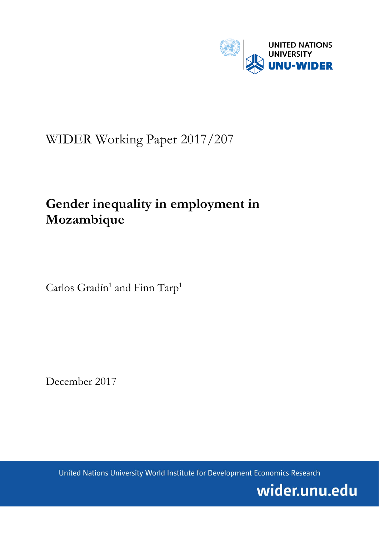

# WIDER Working Paper 2017/207

# **Gender inequality in employment in Mozambique**

Carlos Gradín<sup>1</sup> and Finn Tarp<sup>1</sup>

December 2017

United Nations University World Institute for Development Economics Research

wider.unu.edu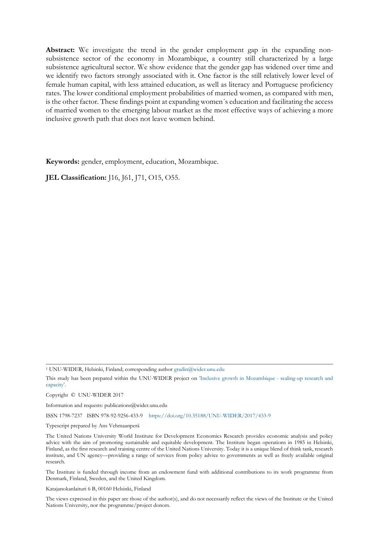**Abstract:** We investigate the trend in the gender employment gap in the expanding nonsubsistence sector of the economy in Mozambique, a country still characterized by a large subsistence agricultural sector. We show evidence that the gender gap has widened over time and we identify two factors strongly associated with it. One factor is the still relatively lower level of female human capital, with less attained education, as well as literacy and Portuguese proficiency rates. The lower conditional employment probabilities of married women, as compared with men, is the other factor. These findings point at expanding women´s education and facilitating the access of married women to the emerging labour market as the most effective ways of achieving a more inclusive growth path that does not leave women behind.

**Keywords:** gender, employment, education, Mozambique.

**JEL Classification:** J16, J61, J71, O15, O55.

Copyright © UNU-WIDER 2017

Information and requests: publications@wider.unu.edu

ISSN 1798-7237 ISBN 978-92-9256-433-9 <https://doi.org/10.35188/UNU-WIDER/2017/433-9>

Typescript prepared by Ans Vehmaanperä

Katajanokanlaituri 6 B, 00160 Helsinki, Finland

The views expressed in this paper are those of the author(s), and do not necessarily reflect the views of the Institute or the United Nations University, nor the programme/project donors.

<sup>1</sup> UNU-WIDER, Helsinki, Finland; corresponding author g[radin@wider.unu.edu](mailto:gradin@wider.unu.edu)

This study has been prepared within the UNU-WIDER project on ['Inclusive growth in Mozambique - scaling-up research and](https://www.wider.unu.edu/node/461) [capacity'.](https://www.wider.unu.edu/node/461) 

The United Nations University World Institute for Development Economics Research provides economic analysis and policy advice with the aim of promoting sustainable and equitable development. The Institute began operations in 1985 in Helsinki, Finland, as the first research and training centre of the United Nations University. Today it is a unique blend of think tank, research institute, and UN agency—providing a range of services from policy advice to governments as well as freely available original research.

The Institute is funded through income from an endowment fund with additional contributions to its work programme from Denmark, Finland, Sweden, and the United Kingdom.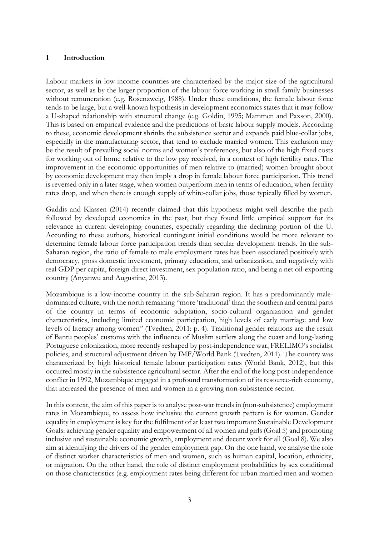## **1 Introduction**

Labour markets in low-income countries are characterized by the major size of the agricultural sector, as well as by the larger proportion of the labour force working in small family businesses without remuneration (e.g. Rosenzweig, 1988). Under these conditions, the female labour force tends to be large, but a well-known hypothesis in development economics states that it may follow a U-shaped relationship with structural change (e.g. Goldin, 1995; Mammen and Paxson, 2000). This is based on empirical evidence and the predictions of basic labour supply models. According to these, economic development shrinks the subsistence sector and expands paid blue-collar jobs, especially in the manufacturing sector, that tend to exclude married women. This exclusion may be the result of prevailing social norms and women's preferences, but also of the high fixed costs for working out of home relative to the low pay received, in a context of high fertility rates. The improvement in the economic opportunities of men relative to (married) women brought about by economic development may then imply a drop in female labour force participation. This trend is reversed only in a later stage, when women outperform men in terms of education, when fertility rates drop, and when there is enough supply of white-collar jobs, those typically filled by women.

Gaddis and Klassen (2014) recently claimed that this hypothesis might well describe the path followed by developed economies in the past, but they found little empirical support for its relevance in current developing countries, especially regarding the declining portion of the U. According to these authors, historical contingent initial conditions would be more relevant to determine female labour force participation trends than secular development trends. In the sub-Saharan region, the ratio of female to male employment rates has been associated positively with democracy, gross domestic investment, primary education, and urbanization, and negatively with real GDP per capita, foreign direct investment, sex population ratio, and being a net oil-exporting country (Anyanwu and Augustine, 2013).

Mozambique is a low-income country in the sub-Saharan region. It has a predominantly maledominated culture, with the north remaining ''more 'traditional' than the southern and central parts of the country in terms of economic adaptation, socio-cultural organization and gender characteristics, including limited economic participation, high levels of early marriage and low levels of literacy among women'' (Tvedten, 2011: p. 4). Traditional gender relations are the result of Bantu peoples' customs with the influence of Muslim settlers along the coast and long-lasting Portuguese colonization, more recently reshaped by post-independence war, FRELIMO's socialist policies, and structural adjustment driven by IMF/World Bank (Tvedten, 2011). The country was characterized by high historical female labour participation rates (World Bank, 2012), but this occurred mostly in the subsistence agricultural sector. After the end of the long post-independence conflict in 1992, Mozambique engaged in a profound transformation of its resource-rich economy, that increased the presence of men and women in a growing non-subsistence sector.

In this context, the aim of this paper is to analyse post-war trends in (non-subsistence) employment rates in Mozambique, to assess how inclusive the current growth pattern is for women. Gender equality in employment is key for the fulfilment of at least two important Sustainable Development Goals: achieving gender equality and empowerment of all women and girls (Goal 5) and promoting inclusive and sustainable economic growth, employment and decent work for all (Goal 8). We also aim at identifying the drivers of the gender employment gap. On the one hand, we analyse the role of distinct worker characteristics of men and women, such as human capital, location, ethnicity, or migration. On the other hand, the role of distinct employment probabilities by sex conditional on those characteristics (e.g. employment rates being different for urban married men and women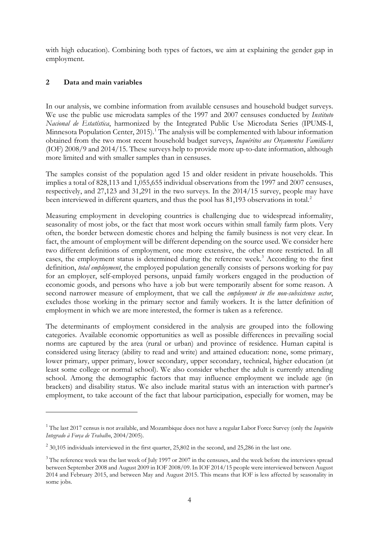with high education). Combining both types of factors, we aim at explaining the gender gap in employment.

## **2 Data and main variables**

-

In our analysis, we combine information from available censuses and household budget surveys. We use the public use microdata samples of the 1997 and 2007 censuses conducted by *Instituto Nacional de Estatística*, harmonized by the Integrated Public Use Microdata Series (IPUMS-I, Minnesota Population Center, 20[1](#page-3-0)5).<sup>1</sup> The analysis will be complemented with labour information obtained from the two most recent household budget surveys, *Inquéritos aos Orçamentos Familiares*  (IOF) 2008/9 and 2014/15. These surveys help to provide more up-to-date information, although more limited and with smaller samples than in censuses.

The samples consist of the population aged 15 and older resident in private households. This implies a total of 828,113 and 1,055,655 individual observations from the 1997 and 2007 censuses, respectively, and 27,123 and 31,291 in the two surveys. In the 2014/15 survey, people may have been interviewed in different quarters, and thus the pool has 81,193 observations in total.<sup>[2](#page-3-1)</sup>

Measuring employment in developing countries is challenging due to widespread informality, seasonality of most jobs, or the fact that most work occurs within small family farm plots. Very often, the border between domestic chores and helping the family business is not very clear. In fact, the amount of employment will be different depending on the source used. We consider here two different definitions of employment, one more extensive, the other more restricted. In all cases, the employment status is determined during the reference week.<sup>[3](#page-3-2)</sup> According to the first definition, *total employment*, the employed population generally consists of persons working for pay for an employer, self-employed persons, unpaid family workers engaged in the production of economic goods, and persons who have a job but were temporarily absent for some reason. A second narrower measure of employment, that we call the *employment in the non-subsistence sector*, excludes those working in the primary sector and family workers. It is the latter definition of employment in which we are more interested, the former is taken as a reference.

The determinants of employment considered in the analysis are grouped into the following categories. Available economic opportunities as well as possible differences in prevailing social norms are captured by the area (rural or urban) and province of residence. Human capital is considered using literacy (ability to read and write) and attained education: none, some primary, lower primary, upper primary, lower secondary, upper secondary, technical, higher education (at least some college or normal school). We also consider whether the adult is currently attending school. Among the demographic factors that may influence employment we include age (in brackets) and disability status. We also include marital status with an interaction with partner's employment, to take account of the fact that labour participation, especially for women, may be

<span id="page-3-0"></span><sup>1</sup> The last 2017 census is not available, and Mozambique does not have a regular Labor Force Survey (only the *Inquérito Integrado à Força de Trabalho*, 2004/2005).

<span id="page-3-1"></span> $2$  30,105 individuals interviewed in the first quarter, 25,802 in the second, and 25,286 in the last one.

<span id="page-3-2"></span><sup>&</sup>lt;sup>3</sup> The reference week was the last week of July 1997 or 2007 in the censuses, and the week before the interviews spread between September 2008 and August 2009 in IOF 2008/09. In IOF 2014/15 people were interviewed between August 2014 and February 2015, and between May and August 2015. This means that IOF is less affected by seasonality in some jobs.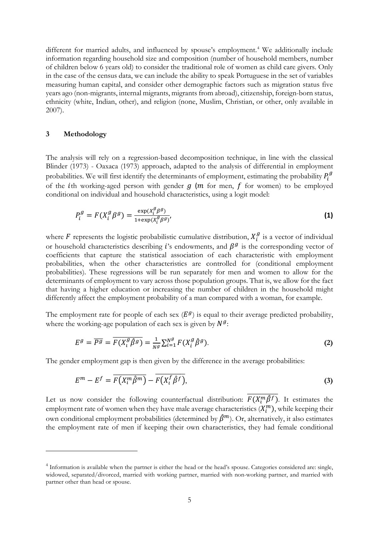different for married adults, and influenced by spouse's employment.<sup>[4](#page-4-0)</sup> We additionally include information regarding household size and composition (number of household members, number of children below 6 years old) to consider the traditional role of women as child care givers. Only in the case of the census data, we can include the ability to speak Portuguese in the set of variables measuring human capital, and consider other demographic factors such as migration status five years ago (non-migrants, internal migrants, migrants from abroad), citizenship, foreign-born status, ethnicity (white, Indian, other), and religion (none, Muslim, Christian, or other, only available in 2007).

### **3 Methodology**

-

The analysis will rely on a regression-based decomposition technique, in line with the classical Blinder (1973) - Oaxaca (1973) approach, adapted to the analysis of differential in employment probabilities. We will first identify the determinants of employment, estimating the probability  $P_i^g$ of the *i*th working-aged person with gender  $g(m)$  for men,  $f$  for women) to be employed conditional on individual and household characteristics, using a logit model:

$$
P_i^g = F(X_i^g \beta^g) = \frac{\exp(X_i^g \beta^g)}{1 + \exp(X_i^g \beta^g)}
$$
\n<sup>(1)</sup>

where F represents the logistic probabilistic cumulative distribution,  $X_i^g$  is a vector of individual or household characteristics describing *i*'s endowments, and  $\beta^g$  is the corresponding vector of coefficients that capture the statistical association of each characteristic with employment probabilities, when the other characteristics are controlled for (conditional employment probabilities). These regressions will be run separately for men and women to allow for the determinants of employment to vary across those population groups. That is, we allow for the fact that having a higher education or increasing the number of children in the household might differently affect the employment probability of a man compared with a woman, for example.

The employment rate for people of each sex  $(E^g)$  is equal to their average predicted probability, where the working-age population of each sex is given by  $N<sup>g</sup>$ :

$$
E^g = \overline{P^g} = \overline{F(X_i^g \hat{\beta}^g)} = \frac{1}{N^g} \sum_{i=1}^{N^g} F(X_i^g \hat{\beta}^g).
$$
 (2)

The gender employment gap is then given by the difference in the average probabilities:

$$
E^{m} - E^{f} = \overline{F(X_{i}^{m}\hat{\beta}^{m})} - \overline{F(X_{i}^{f}\hat{\beta}^{f})},
$$
\n(3)

Let us now consider the following counterfactual distribution:  $F(X_i^m \hat{\beta}^f)$ . It estimates the employment rate of women when they have male average characteristics  $(X_i^m)$ , while keeping their own conditional employment probabilities (determined by  $\hat{\beta}^m$ ). Or, alternatively, it also estimates the employment rate of men if keeping their own characteristics, they had female conditional

<span id="page-4-0"></span><sup>4</sup> Information is available when the partner is either the head or the head's spouse. Categories considered are: single, widowed, separated/divorced, married with working partner, married with non-working partner, and married with partner other than head or spouse.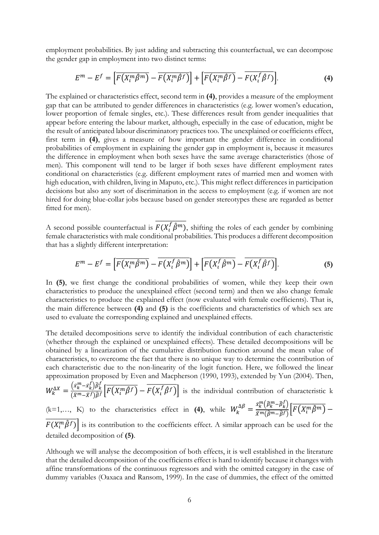employment probabilities. By just adding and subtracting this counterfactual, we can decompose the gender gap in employment into two distinct terms:

$$
E^{m} - E^{f} = \left[ \overline{F(X_{l}^{m}\hat{\beta}^{m})} - \overline{F(X_{l}^{m}\hat{\beta}^{f})} \right] + \left[ \overline{F(X_{l}^{m}\hat{\beta}^{f})} - \overline{F(X_{l}^{f}\hat{\beta}^{f})} \right].
$$
 (4)

The explained or characteristics effect, second term in (4), provides a measure of the employment gap that can be attributed to gender differences in characteristics (e.g. lower women's education, lower proportion of female singles, etc.). These differences result from gender inequalities that appear before entering the labour market, although, especially in the case of education, might be the result of anticipated labour discriminatory practices too. The unexplained or coefficients effect, first term in (4), gives a measure of how important the gender difference in conditional probabilities of employment in explaining the gender gap in employment is, because it measures the difference in employment when both sexes have the same average characteristics (those of men). This component will tend to be larger if both sexes have different employment rates conditional on characteristics (e.g. different employment rates of married men and women with high education, with children, living in Maputo, etc.). This might reflect differences in participation decisions but also any sort of discrimination in the access to employment (e.g. if women are not hired for doing blue-collar jobs because based on gender stereotypes these are regarded as better fitted for men).

A second possible counterfactual is  $\overline{F(X_i^f \hat{\beta}^m)}$ , shifting the roles of each gender by combining female characteristics with male conditional probabilities. This produces a different decomposition that has a slightly different interpretation:

$$
E^{m} - E^{f} = \left[ \overline{F(X_{t}^{m} \hat{\beta}^{m})} - \overline{F(X_{t}^{f} \hat{\beta}^{m})} \right] + \left[ \overline{F(X_{t}^{f} \hat{\beta}^{m})} - \overline{F(X_{t}^{f} \hat{\beta}^{f})} \right].
$$
 (5)

In (5), we first change the conditional probabilities of women, while they keep their own characteristics to produce the unexplained effect (second term) and then we also change female characteristics to produce the explained effect (now evaluated with female coefficients). That is, the main difference between (4) and (5) is the coefficients and characteristics of which sex are used to evaluate the corresponding explained and unexplained effects.

The detailed decompositions serve to identify the individual contribution of each characteristic (whether through the explained or unexplained effects). These detailed decompositions will be obtained by a linearization of the cumulative distribution function around the mean value of characteristics, to overcome the fact that there is no unique way to determine the contribution of each characteristic due to the non-linearity of the logit function. Here, we followed the linear approximation proposed by Even and Macpherson (1990, 1993), extended by Yun (2004). Then,

$$
W_k^{\Delta X} = \frac{\left(\bar{x}_k^m - \bar{x}_k^l\right)\hat{\beta}_k^l}{\left(\bar{x}^m - \bar{x}^f\right)\hat{\beta}^f}\left[\overline{F\left(X_l^m\hat{\beta}^f\right)} - \overline{F\left(X_l^f\hat{\beta}^f\right)}\right]
$$
 is the individual contribution of characteristic k

(k=1,..., K) to the characteristics effect in (4), while  $W_k^{\Delta \beta} = \frac{\bar{x}_k^m (\beta_k^m - \beta_k^j)}{\bar{x}_k^m (\hat{\beta}_k^m - \hat{\beta}_k^j)} \left[ \overline{F(X_i^m \hat{\beta}^m)} - \right]$  $\overline{F(X_i^m\hat{\beta}^f)}$  is its contribution to the coefficients effect. A similar approach can be used for the detailed decomposition of (5).

Although we will analyse the decomposition of both effects, it is well established in the literature that the detailed decomposition of the coefficients effect is hard to identify because it changes with affine transformations of the continuous regressors and with the omitted category in the case of dummy variables (Oaxaca and Ransom, 1999). In the case of dummies, the effect of the omitted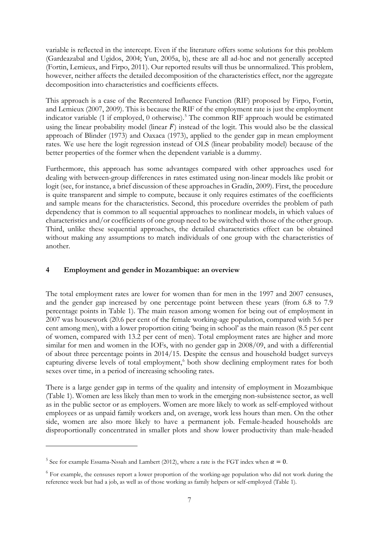variable is reflected in the intercept. Even if the literature offers some solutions for this problem (Gardeazabal and Ugidos, 2004; Yun, 2005a, b), these are all ad-hoc and not generally accepted (Fortin, Lemieux, and Firpo, 2011). Our reported results will thus be unnormalized. This problem, however, neither affects the detailed decomposition of the characteristics effect, nor the aggregate decomposition into characteristics and coefficients effects.

This approach is a case of the Recentered Influence Function (RIF) proposed by Firpo, Fortin, and Lemieux (2007, 2009). This is because the RIF of the employment rate is just the employment indicator variable (1 if employed, 0 otherwise).<sup>[5](#page-6-0)</sup> The common RIF approach would be estimated using the linear probability model (linear  $F$ ) instead of the logit. This would also be the classical approach of Blinder (1973) and Oaxaca (1973), applied to the gender gap in mean employment rates. We use here the logit regression instead of OLS (linear probability model) because of the better properties of the former when the dependent variable is a dummy.

Furthermore, this approach has some advantages compared with other approaches used for dealing with between-group differences in rates estimated using non-linear models like probit or logit (see, for instance, a brief discussion of these approaches in Gradín, 2009). First, the procedure is quite transparent and simple to compute, because it only requires estimates of the coefficients and sample means for the characteristics. Second, this procedure overrides the problem of path dependency that is common to all sequential approaches to nonlinear models, in which values of characteristics and/or coefficients of one group need to be switched with those of the other group. Third, unlike these sequential approaches, the detailed characteristics effect can be obtained without making any assumptions to match individuals of one group with the characteristics of another.

## **4 Employment and gender in Mozambique: an overview**

The total employment rates are lower for women than for men in the 1997 and 2007 censuses, and the gender gap increased by one percentage point between these years (from 6.8 to 7.9 percentage points in Table 1). The main reason among women for being out of employment in 2007 was housework (20.6 per cent of the female working-age population, compared with 5.6 per cent among men), with a lower proportion citing 'being in school' as the main reason (8.5 per cent of women, compared with 13.2 per cent of men). Total employment rates are higher and more similar for men and women in the IOFs, with no gender gap in 2008/09, and with a differential of about three percentage points in 2014/15. Despite the census and household budget surveys capturing diverse levels of total employment,<sup>[6](#page-6-1)</sup> both show declining employment rates for both sexes over time, in a period of increasing schooling rates.

There is a large gender gap in terms of the quality and intensity of employment in Mozambique (Table 1). Women are less likely than men to work in the emerging non-subsistence sector, as well as in the public sector or as employers. Women are more likely to work as self-employed without employees or as unpaid family workers and, on average, work less hours than men. On the other side, women are also more likely to have a permanent job. Female-headed households are disproportionally concentrated in smaller plots and show lower productivity than male-headed

-

<span id="page-6-0"></span><sup>&</sup>lt;sup>5</sup> See for example Essama-Nssah and Lambert (2012), where a rate is the FGT index when  $\alpha = 0$ .

<span id="page-6-1"></span><sup>&</sup>lt;sup>6</sup> For example, the censuses report a lower proportion of the working-age population who did not work during the reference week but had a job, as well as of those working as family helpers or self-employed (Table 1).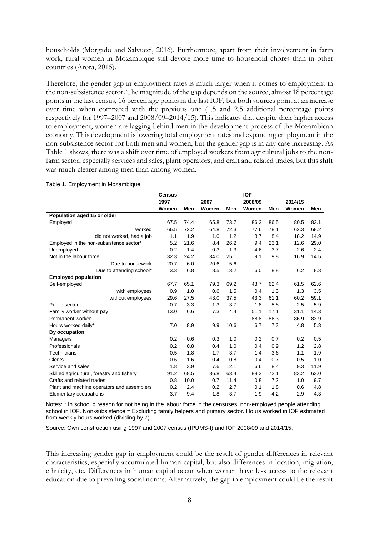households (Morgado and Salvucci, 2016). Furthermore, apart from their involvement in farm work, rural women in Mozambique still devote more time to household chores than in other countries (Arora, 2015).

Therefore, the gender gap in employment rates is much larger when it comes to employment in the non-subsistence sector. The magnitude of the gap depends on the source, almost 18 percentage points in the last census, 16 percentage points in the last IOF, but both sources point at an increase over time when compared with the previous one (1.5 and 2.5 additional percentage points respectively for 1997–2007 and 2008/09–2014/15). This indicates that despite their higher access to employment, women are lagging behind men in the development process of the Mozambican economy. This development is lowering total employment rates and expanding employment in the non-subsistence sector for both men and women, but the gender gap is in any case increasing. As Table 1 shows, there was a shift over time of employed workers from agricultural jobs to the nonfarm sector, especially services and sales, plant operators, and craft and related trades, but this shift was much clearer among men than among women.

|                                            | <b>Census</b> |      |                              |      | <b>IOF</b>     |      |         |      |
|--------------------------------------------|---------------|------|------------------------------|------|----------------|------|---------|------|
|                                            | 1997          |      | 2007                         |      | 2008/09        |      | 2014/15 |      |
|                                            | Women         | Men  | Women                        | Men  | Women          | Men  | Women   | Men  |
| Population aged 15 or older                |               |      |                              |      |                |      |         |      |
| Employed                                   | 67.5          | 74.4 | 65.8                         | 73.7 | 86.3           | 86.5 | 80.5    | 83.1 |
| worked                                     | 66.5          | 72.2 | 64.8                         | 72.3 | 77.6           | 78.1 | 62.3    | 68.2 |
| did not worked, had a job                  | 1.1           | 1.9  | 1.0                          | 1.2  | 8.7            | 8.4  | 18.2    | 14.9 |
| Employed in the non-subsistence sector*    | 5.2           | 21.6 | 8.4                          | 26.2 | 9.4            | 23.1 | 12.6    | 29.0 |
| Unemployed                                 | 0.2           | 1.4  | 0.3                          | 1.3  | 4.6            | 3.7  | 2.6     | 2.4  |
| Not in the labour force                    | 32.3          | 24.2 | 34.0                         | 25.1 | 9.1            | 9.8  | 16.9    | 14.5 |
| Due to housework                           | 20.7          | 6.0  | 20.6                         | 5.6  | $\blacksquare$ |      |         |      |
| Due to attending school*                   | 3.3           | 6.8  | 8.5                          | 13.2 | 6.0            | 8.8  | 6.2     | 8.3  |
| <b>Employed population</b>                 |               |      |                              |      |                |      |         |      |
| Self-employed                              | 67.7          | 65.1 | 79.3                         | 69.2 | 43.7           | 62.4 | 61.5    | 62.6 |
| with employees                             | 0.9           | 1.0  | 0.6                          | 1.5  | 0.4            | 1.3  | 1.3     | 3.5  |
| without employees                          | 29.6          | 27.5 | 43.0                         | 37.5 | 43.3           | 61.1 | 60.2    | 59.1 |
| Public sector                              | 0.7           | 3.3  | 1.3                          | 3.7  | 1.8            | 5.8  | 2.5     | 5.9  |
| Family worker without pay                  | 13.0          | 6.6  | 7.3                          | 4.4  | 51.1           | 17.1 | 31.1    | 14.3 |
| Permanent worker                           |               |      | $\qquad \qquad \blacksquare$ |      | 88.8           | 86.3 | 86.9    | 83.9 |
| Hours worked daily*                        | 7.0           | 8.9  | 9.9                          | 10.6 | 6.7            | 7.3  | 4.8     | 5.8  |
| By occupation                              |               |      |                              |      |                |      |         |      |
| Managers                                   | 0.2           | 0.6  | 0.3                          | 1.0  | 0.2            | 0.7  | 0.2     | 0.5  |
| Professionals                              | 0.2           | 0.8  | 0.4                          | 1.0  | 0.4            | 0.9  | 1.2     | 2.8  |
| Technicians                                | 0.5           | 1.8  | 1.7                          | 3.7  | 1.4            | 3.6  | 1.1     | 1.9  |
| Clerks                                     | 0.6           | 1.6  | 0.4                          | 0.8  | 0.4            | 0.7  | 0.5     | 1.0  |
| Service and sales                          | 1.8           | 3.9  | 7.6                          | 12.1 | 6.6            | 8.4  | 9.3     | 11.9 |
| Skilled agricultural, forestry and fishery | 91.2          | 68.5 | 86.8                         | 63.4 | 88.3           | 72.1 | 83.2    | 63.0 |
| Crafts and related trades                  | 0.8           | 10.0 | 0.7                          | 11.4 | 0.8            | 7.2  | 1.0     | 9.7  |
| Plant and machine operators and assemblers | 0.2           | 2.4  | 0.2                          | 2.7  | 0.1            | 1.8  | 0.6     | 4.8  |
| Elementary occupations                     | 3.7           | 9.4  | 1.8                          | 3.7  | 1.9            | 4.2  | 2.9     | 4.3  |

Table 1. Employment in Mozambique

Notes: \* In school = reason for not being in the labour force in the censuses; non-employed people attending school in IOF. Non-subsistence = Excluding family helpers and primary sector. Hours worked in IOF estimated from weekly hours worked (dividing by 7).

Source: Own construction using 1997 and 2007 census (IPUMS-I) and IOF 2008/09 and 2014/15.

This increasing gender gap in employment could be the result of gender differences in relevant characteristics, especially accumulated human capital, but also differences in location, migration, ethnicity, etc. Differences in human capital occur when women have less access to the relevant education due to prevailing social norms. Alternatively, the gap in employment could be the result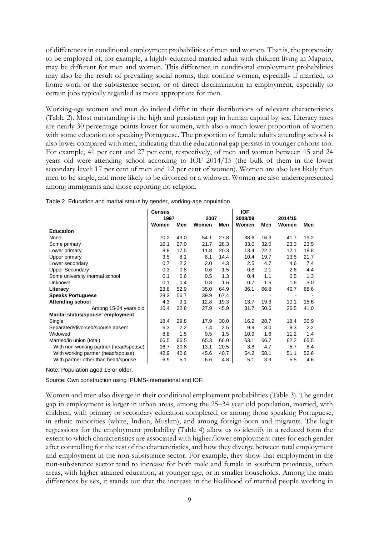of differences in conditional employment probabilities of men and women. That is, the propensity to be employed of, for example, a highly educated married adult with children living in Maputo, may be different for men and women. This difference in conditional employment probabilities may also be the result of prevailing social norms, that confine women, especially if married, to home work or the subsistence sector, or of direct discrimination in employment, especially to certain jobs typically regarded as more appropriate for men.

Working-age women and men do indeed differ in their distributions of relevant characteristics (Table 2). Most outstanding is the high and persistent gap in human capital by sex. Literacy rates are nearly 30 percentage points lower for women, with also a much lower proportion of women with some education or speaking Portuguese. The proportion of female adults attending school is also lower compared with men, indicating that the educational gap persists in younger cohorts too. For example, 41 per cent and 27 per cent, respectively, of men and women between 15 and 24 years old were attending school according to IOF 2014/15 (the bulk of them in the lower secondary level: 17 per cent of men and 12 per cent of women). Women are also less likely than men to be single, and more likely to be divorced or a widower. Women are also underrepresented among immigrants and those reporting no religion.

|                                        | <b>Census</b> |      |               |      | <b>IOF</b>       |      |                  |      |
|----------------------------------------|---------------|------|---------------|------|------------------|------|------------------|------|
|                                        | 1997<br>Women | Men  | 2007<br>Women | Men  | 2008/09<br>Women | Men  | 2014/15<br>Women | Men  |
| <b>Education</b>                       |               |      |               |      |                  |      |                  |      |
| None                                   | 70.2          | 43.0 | 54.1          | 27.8 | 38.6             | 16.3 | 41.7             | 19.2 |
| Some primary                           | 16.1          | 27.0 | 21.7          | 28.3 | 33.0             | 32.0 | 23.3             | 23.5 |
| Lower primary                          | 8.8           | 17.5 | 11.8          | 20.3 | 13.4             | 22.2 | 12.1             | 18.8 |
| Upper primary                          | 3.5           | 8.1  | 8.1           | 14.4 | 10.4             | 19.7 | 13.5             | 21.7 |
| Lower secondary                        | 0.7           | 2.2  | 2.0           | 4.3  | 2.5              | 4.7  | 4.6              | 7.4  |
| <b>Upper Secondary</b>                 | 0.3           | 0.8  | 0.6           | 1.5  | 0.8              | 2.1  | 2.6              | 4.4  |
| Some university /normal school         | 0.1           | 0.6  | 0.5           | 1.3  | 0.4              | 1.1  | 0.5              | 1.3  |
| <b>Unknown</b>                         | 0.1           | 0.4  | 0.8           | 1.6  | 0.7              | 1.5  | 1.6              | 3.0  |
| Literacy                               | 23.8          | 52.9 | 35.0          | 64.9 | 36.1             | 66.8 | 40.7             | 68.6 |
| <b>Speaks Portuguese</b>               | 28.3          | 56.7 | 39.9          | 67.4 | ٠                |      |                  |      |
| <b>Attending school</b>                | 4.3           | 9.1  | 12.8          | 19.3 | 13.7             | 19.3 | 10.1             | 15.6 |
| Among 15-24 years old                  | 10.4          | 22.8 | 27.9          | 45.9 | 31.7             | 50.6 | 26.5             | 41.0 |
| Marital status/spouse' employment      |               |      |               |      |                  |      |                  |      |
| Single                                 | 18.4          | 29.8 | 17.9          | 30.0 | 16.2             | 28.7 | 18.4             | 30.9 |
| Separated/divorced/spouse absent       | 6.3           | 2.2  | 7.4           | 2.5  | 9.9              | 3.0  | 8.3              | 2.2  |
| Widowed                                | 8.8           | 1.5  | 9.5           | 1.5  | 10.9             | 1.6  | 11.2             | 1.4  |
| Married/in union (total)               | 66.5          | 66.5 | 65.3          | 66.0 | 63.1             | 66.7 | 62.2             | 65.5 |
| With non-working partner (head/spouse) | 16.7          | 20.8 | 13.1          | 20.5 | 3.8              | 4.7  | 5.7              | 8.4  |
| With working partner (head/spouse)     | 42.9          | 40.6 | 45.6          | 40.7 | 54.2             | 58.1 | 51.1             | 52.6 |
| With partner other than head/spouse    | 6.9           | 5.1  | 6.6           | 4.8  | 5.1              | 3.9  | 5.5              | 4.6  |

| Table 2. Education and marital status by gender, working-age population |  |
|-------------------------------------------------------------------------|--|
|                                                                         |  |

Note: Population aged 15 or older.

Source: Own construction using IPUMS-International and IOF.

Women and men also diverge in their conditional employment probabilities (Table 3). The gender gap in employment is larger in urban areas, among the 25–34 year old population, married, with children, with primary or secondary education completed, or among those speaking Portuguese, in ethnic minorities (white, Indian, Muslim), and among foreign-born and migrants. The logit regressions for the employment probability (Table 4) allow us to identify in a reduced form the extent to which characteristics are associated with higher/lower employment rates for each gender after controlling for the rest of the characteristics, and how they diverge between total employment and employment in the non-subsistence sector. For example, they show that employment in the non-subsistence sector tend to increase for both male and female in southern provinces, urban areas, with higher attained education, at younger age, or in smaller households. Among the main differences by sex, it stands out that the increase in the likelihood of married people working in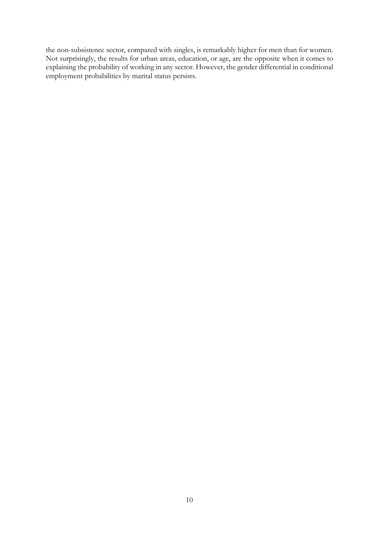the non-subsistence sector, compared with singles, is remarkably higher for men than for women. Not surprisingly, the results for urban areas, education, or age, are the opposite when it comes to explaining the probability of working in any sector. However, the gender differential in conditional employment probabilities by marital status persists.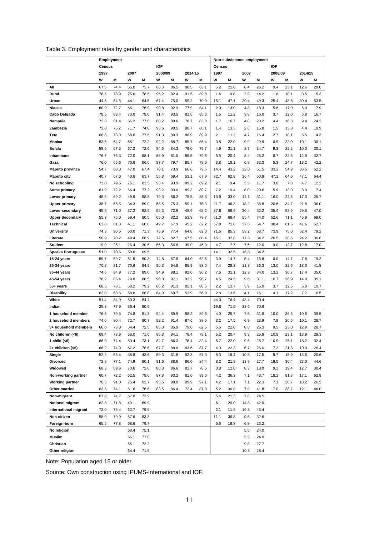|  |  |  |  |  | Table 3. Employment rates by gender and characteristics |
|--|--|--|--|--|---------------------------------------------------------|
|--|--|--|--|--|---------------------------------------------------------|

|                          |               | Employment |      |      |            |      |         |      |               |      | Non-subsistence employment |      |            |      |         |      |
|--------------------------|---------------|------------|------|------|------------|------|---------|------|---------------|------|----------------------------|------|------------|------|---------|------|
|                          | <b>Census</b> |            |      |      | <b>IOF</b> |      |         |      | <b>Census</b> |      |                            |      | <b>IOF</b> |      |         |      |
|                          | 1997          |            | 2007 |      | 2008/09    |      | 2014/15 |      | 1997          |      | 2007                       |      | 2008/09    |      | 2014/15 |      |
|                          | W             | M          | W    | M    | W          | М    | W       | M    | W             | Μ    | W                          | M    | W          | M    | W       | M    |
| All                      | 67.5          | 74.4       | 65.8 | 73.7 | 86.3       | 86.5 | 80.5    | 83.1 | 5.2           | 21.6 | 8.4                        | 26.2 | 9.4        | 23.1 | 12.6    | 29.0 |
| Rural                    | 76.5          | 78.9       | 75.6 | 78.5 | 95.2       | 92.4 | 91.5    | 89.8 | 1.4           | 9.8  | 2.9                        | 14.2 | 1.8        | 10.1 | 3.5     | 15.3 |
| Urban                    | 44.5          | 64.6       | 44.1 | 64.5 | 67.4       | 75.0 | 59.2    | 70.9 | 15.1          | 47.1 | 20.4                       | 49.3 | 25.4       | 48.6 | 30.4    | 53.5 |
| <b>Niassa</b>            | 60.9          | 72.7       | 66.1 | 76.9 | 90.8       | 92.9 | 77.9    | 84.1 | 2.0           | 13.0 | 4.8                        | 18.3 | 5.8        | 17.0 | 5.0     | 17.9 |
| Cabo Delgado             | 78.5          | 83.4       | 73.0 | 79.0 | 91.4       | 93.5 | 81.6    | 85.6 | 1.5           | 11.2 | 3.8                        | 15.0 | 3.7        | 12.0 | 5.8     | 16.7 |
| Nampula                  | 72.8          | 81.4       | 66.2 | 77.8 | 88.2       | 89.6 | 78.7    | 83.8 | 1.7           | 16.7 | 4.0                        | 20.2 | 4.4        | 16.8 | 9.4     | 24.2 |
| Zambézia                 | 72.8          | 76.2       | 71.7 | 74.8 | 93.6       | 90.5 | 88.7    | 86.1 | 1.4           | 13.3 | 2.6                        | 15.8 | 1.5        | 13.8 | 4.4     | 19.9 |
| Tete                     | 66.8          | 73.0       | 68.6 | 77.5 | 91.3       | 89.3 | 88.9    | 89.9 | 2.1           | 11.2 | 4.7                        | 16.4 | 2.7        | 10.1 | 5.5     | 14.3 |
| <b>Manica</b>            | 53.6          | 64.7       | 65.1 | 72.2 | 92.2       | 88.7 | 85.7    | 86.4 | 3.8           | 22.0 | 9.9                        | 29.9 | 6.9        | 22.0 | 10.1    | 30.1 |
| Sofala                   | 58.5          | 67.5       | 67.2 | 72.6 | 84.6       | 84.3 | 79.0    | 79.7 | 4.9           | 31.1 | 8.7                        | 34.7 | 9.3        | 32.2 | 10.0    | 30.1 |
| Inhambane                | 76.7          | 76.3       | 72.0 | 68.1 | 86.9       | 81.0 | 85.5    | 79.6 | 5.5           | 20.4 | 8.4                        | 26.2 | 6.7        | 22.5 | 12.9    | 32.7 |
| Gaza                     | 76.0          | 65.6       | 70.6 | 66.0 | 87.7       | 79.7 | 85.7    | 78.6 | 3.8           | 18.1 | 6.9                        | 33.3 | 5.3        | 24.7 | 13.2    | 42.2 |
| <b>Maputo province</b>   | 54.7          | 68.0       | 47.0 | 67.4 | 70.1       | 73.9 | 66.6    | 79.5 | 14.4          | 43.2 | 22.0                       | 51.5 | 33.2       | 54.9 | 36.5    | 62.2 |
| <b>Maputo city</b>       | 40.7          | 67.0       | 40.6 | 63.7 | 55.8       | 69.4 | 53.1    | 67.9 | 32.7          | 62.8 | 36.4                       | 60.9 | 47.2       | 64.0 | 47.1    | 64.4 |
| No schooling             | 73.0          | 79.5       | 75.1 | 83.5 | 93.4       | 93.9 | 89.2    | 89.2 | 2.1           | 9.4  | 3.5                        | 11.7 | 3.0        | 7.8  | 4.7     | 12.2 |
| Some primary             | 61.9          | 72.2       | 66.4 | 77.2 | 93.2       | 93.0 | 89.3    | 89.7 | 7.2           | 19.4 | 8.0                        | 20.6 | 5.9        | 13.0 | 8.0     | 17.4 |
| Lower primary            | 48.8          | 69.2       | 49.9 | 68.8 | 79.3       | 86.2 | 78.5    | 85.3 | 13.9          | 33.0 | 14.1                       | 31.1 | 16.0       | 22.5 | 17.3    | 25.7 |
| <b>Upper primary</b>     | 38.7          | 66.5       | 34.3 | 59.0 | 58.5       | 75.3 | 59.1    | 75.3 | 21.7          | 46.3 | 18.2                       | 38.8 | 20.6       | 34.7 | 21.8    | 36.0 |
| Lower secondary          | 45.6          | 71.0       | 37.2 | 62.9 | 52.3       | 72.9 | 48.9    | 68.2 | 37.6          | 58.9 | 30.4                       | 52.2 | 35.4       | 52.9 | 29.5    | 47.0 |
| <b>Upper Secondary</b>   | 55.3          | 76.0       | 59.4 | 80.5 | 65.0       | 82.2 | 53.8    | 79.7 | 51.0          | 68.4 | 55.4                       | 74.0 | 52.6       | 71.1 | 45.9    | 69.0 |
| <b>Technical</b>         | 63.8          | 81.0       | 41.1 | 60.0 | 49.7       | 67.9 | 45.2    | 62.2 | 57.0          | 71.8 | 37.8                       | 54.7 | 38.4       | 61.5 | 41.6    | 52.7 |
| <b>University</b>        | 74.3          | 90.5       | 60.0 | 71.3 | 75.9       | 77.4 | 64.8    | 82.0 | 71.5          | 85.3 | 58.2                       | 68.7 | 73.9       | 75.0 | 62.4    | 79.2 |
| Literate                 | 50.9          | 70.2       | 49.4 | 68.9 | 72.5       | 82.7 | 67.5    | 80.4 | 15.1          | 32.8 | 17.3                       | 34.2 | 20.5       | 30.6 | 24.2    | 36.6 |
| <b>Student</b>           | 19.0          | 25.1       | 26.4 | 30.5 | 56.3       | 54.6 | 39.0    | 46.9 | 4.7           | 7.7  | 7.6                        | 12.0 | 9.0        | 12.7 | 12.8    | 17.0 |
| <b>Speaks Portuguese</b> | 51.0          | 70.6       | 50.6 | 69.5 |            |      |         |      | 14.1          | 32.5 | 16.8                       | 34.2 |            |      |         |      |
| 15-24 years              | 59.7          | 59.7       | 51.5 | 50.3 | 74.8       | 67.8 | 64.0    | 62.6 | 3.9           | 14.7 | 5.4                        | 16.8 | 6.0        | 14.7 | 7.8     | 19.2 |
| 25-34 years              | 70.2          | 81.7       | 70.6 | 84.9 | 90.3       | 94.8 | 85.9    | 93.0 | 7.4           | 28.3 | 11.3                       | 36.3 | 13.0       | 32.6 | 18.0    | 41.8 |
| 35-44 years              | 74.6          | 84.9       | 77.2 | 89.0 | 94.9       | 98.1 | 92.0    | 96.2 | 7.6           | 31.1 | 12.3                       | 34.0 | 13.2       | 30.7 | 17.4    | 35.0 |
| 45-54 years              | 76.2          | 85.4       | 79.0 | 88.5 | 96.8       | 97.1 | 93.2    | 96.7 | 4.5           | 24.5 | 9.6                        | 31.1 | 10.7       | 26.9 | 14.0    | 35.1 |
| 55+ years                | 68.5          | 78.1       | 68.2 | 79.2 | 86.2       | 91.3 | 82.1    | 88.5 | 2.2           | 13.7 | 3.9                        | 15.9 | 3.7        | 12.5 | 6.9     | 19.7 |
| <b>Disability</b>        | 62.0          | 68.6       | 58.8 | 66.8 | 64.0       | 69.7 | 53.9    | 56.9 | 2.8           | 13.6 | 4.1                        | 16.1 | 4.1        | 17.2 | 7.7     | 16.5 |
| White                    | 51.4          | 84.9       | 60.3 | 84.4 |            |      |         |      | 44.3          | 76.4 | 48.4                       | 70.4 |            |      |         |      |
| Indian                   | 25.3          | 77.9       | 36.4 | 80.9 |            |      |         |      | 19.8          | 71.5 | 23.6                       | 70.6 |            |      |         |      |
| 1 household member       | 76.5          | 79.5       | 74.8 | 81.3 | 94.4       | 89.9 | 88.2    | 89.6 | 4.0           | 25.7 | 7.5                        | 31.8 | 10.0       | 36.5 | 10.6    | 39.5 |
| 2 household members      | 74.6          | 80.4       | 72.7 | 80.7 | 92.2       | 91.4 | 87.6    | 88.5 | 3.2           | 17.5 | 6.9                        | 23.9 | 7.9        | 20.6 | 10.1    | 28.7 |
| 3+ household members     | 66.0          | 73.3       | 64.4 | 72.5 | 85.3       | 85.9 | 79.6    | 82.5 | 5.6           | 22.0 | 8.6                        | 26.3 | 9.5        | 23.0 | 12.9    | 28.7 |
| No children (<6)         | 69.4          | 73.9       | 66.0 | 71.0 | 85.8       | 84.1 | 78.4    | 78.1 | 5.2           | 20.7 | 9.3                        | 25.8 | 10.9       | 23.1 | 13.9    | 29.3 |
| 1 child (<6)             | 66.9          | 74.4       | 63.4 | 73.1 | 84.7       | 86.3 | 78.4    | 82.4 | 5.7           | 22.0 | 9.6                        | 28.7 | 10.9       | 25.1 | 15.2    | 32.4 |
| $2+$ children (<6)       | 66.2          | 74.9       | 67.2 | 76.6 | 87.7       | 88.6 | 83.6    | 87.7 | 4.9           | 22.3 | 6.7                        | 25.0 | 7.2        | 21.8 | 10.0    | 26.4 |
| Single                   | 52.2          | 53.4       | 38.8 | 43.6 | 59.3       | 61.8 | 52.3    | 57.0 | 8.3           | 16.4 | 10.3                       | 17.5 | 9.7        | 15.9 | 13.6    | 20.6 |
| <b>Divorced</b>          | 72.9          | 77.1       | 74.9 | 80.1 | 91.6       | 88.6 | 86.0    | 84.4 | 8.2           | 21.9 | 13.9                       | 27.7 | 19.5       | 30.4 | 23.0    | 44.6 |
| Widowed                  | 68.3          | 69.3       | 70.6 | 72.6 | 86.3       | 86.6 | 83.7    | 78.5 | 3.8           | 12.0 | 8.3                        | 18.9 | 9.2        | 19.4 | 12.7    | 30.4 |
| Non-working partner      | 60.7          | 72.2       | 62.5 | 78.6 | 87.8       | 93.2 | 81.0    | 89.6 | 4.2           | 36.3 | 7.1                        | 43.7 | 18.2       | 81.8 | 17.1    | 62.9 |
| <b>Working partner</b>   | 76.5          | 91.0       | 75.4 | 92.7 | 93.5       | 98.0 | 89.9    | 97.1 | 4.2           | 17.1 | 7.1                        | 22.3 | 7.1        | 20.7 | 10.2    | 26.3 |
| Other married            | 63.5          | 74.1       | 61.6 | 76.6 | 83.5       | 86.4 | 72.4    | 87.0 | 5.2           | 30.8 | 7.9                        | 41.8 | 7.0        | 38.7 | 12.1    | 46.0 |
| Non-migrant              | 67.8          | 74.7       | 67.0 | 73.9 |            |      |         |      | 5.4           | 21.3 | 7.8                        | 24.5 |            |      |         |      |
| <b>National migrant</b>  | 62.8          | 71.8       | 49.1 | 69.9 |            |      |         |      | 6.1           | 29.0 | 14.8                       | 42.9 |            |      |         |      |
| International migrant    | 72.0          | 75.4       | 62.7 | 79.9 |            |      |         |      | 2.1           | 11.9 | 16.3                       | 43.4 |            |      |         |      |
| Non-citizen              | 58.9          | 79.9       | 67.6 | 83.3 |            |      |         |      | 11.1          | 39.8 | 9.5                        | 32.6 |            |      |         |      |
| Foreign-born             | 65.5          | 77.8       | 68.6 | 79.7 |            |      |         |      | 5.6           | 18.8 | 6.8                        | 23.2 |            |      |         |      |
| No religion              |               |            | 68.4 | 75.1 |            |      |         |      |               |      | 5.5                        | 24.0 |            |      |         |      |
| <b>Muslim</b>            |               |            | 66.1 | 77.0 |            |      |         |      |               |      | 5.5                        | 24.0 |            |      |         |      |
| Christian                |               |            | 65.1 | 72.2 |            |      |         |      |               |      | 9.8                        | 27.7 |            |      |         |      |
| Other religion           |               |            | 64.4 | 71.9 |            |      |         |      |               |      | 10.3                       | 28.4 |            |      |         |      |

Note: Population aged 15 or older.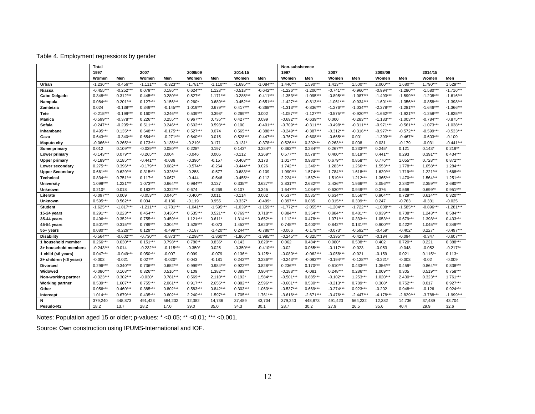#### Table 4. Employment regressions by gender

|                        | <b>Total</b> |             |             |             |             |             |             |             | Non-subsistence |             |             |             |             |             |             |             |
|------------------------|--------------|-------------|-------------|-------------|-------------|-------------|-------------|-------------|-----------------|-------------|-------------|-------------|-------------|-------------|-------------|-------------|
|                        | 1997         |             | 2007        |             | 2008/09     |             | 2014/15     |             | 1997            |             | 2007        |             | 2008/09     |             | 2014/15     |             |
|                        | Women        | Men         | Women       | Men         | Women       | Men         | Women       | Men         | Women           | Men         | Women       | Men         | Women       | Men         | Women       | Men         |
| Urban                  | $-1.236***$  | $-0.456***$ | $-1.111***$ | $-0.323***$ | $-1.781***$ | $-1.110***$ | $-1.695***$ | $-1.084***$ | $1.446***$      | $1.590***$  | $1.413***$  | $1.500***$  | 2.000***    | 1.680***    | 1.790***    | $1.529***$  |
| Niassa                 | $-0.455***$  | $-0.252***$ | $0.079***$  | $0.186***$  | $0.624***$  | $1.123***$  | $-0.518***$ | $-0.642***$ | $-1.226***$     | $-1.200***$ | $-0.741***$ | $-0.960***$ | $-0.994***$ | $-1.280***$ | $-1.580***$ | $-1.716***$ |
| Cabo Delgado           | $0.348***$   | $0.312***$  | $0.445***$  | $0.280***$  | $0.527**$   | $1.171***$  | $-0.285***$ | $-0.411***$ | $-1.353***$     | $-1.095***$ | $-0.895***$ | $-1.087***$ | $-1.493***$ | $-1.599***$ | $-1.208***$ | $-1.616***$ |
| Nampula                | $0.084***$   | $0.201***$  | $0.127***$  | $0.156***$  | $0.260*$    | $0.689***$  | $-0.452***$ | $-0.651***$ | $-1.427***$     | $-0.813***$ | $-1.061***$ | $-0.934***$ | $-1.601***$ | $-1.356***$ | $-0.858***$ | $-1.398***$ |
| Zambézia               | 0.024        | $-0.138***$ | $0.349***$  | $-0.145***$ | $1.019***$  | $0.679***$  | $0.417***$  | $-0.368***$ | $-1.313***$     | $-0.836***$ | $-1.276***$ | $-1.034***$ | $-2.278***$ | $-1.281***$ | $-1.646***$ | $-1.366***$ |
| Tete                   | $-0.215***$  | $-0.199***$ | $0.160***$  | $0.246***$  | $0.539***$  | $0.398*$    | $0.269***$  | 0.002       | $-1.057***$     | $-1.127***$ | $-0.575***$ | $-0.920***$ | $-1.662***$ | $-1.921***$ | $-1.258***$ | $-1.825***$ |
| <b>Manica</b>          | $-0.599***$  | $-0.378***$ | $0.226***$  | $0.255***$  | $0.967***$  | $0.735***$  | $0.427***$  | 0.099       | $-0.692***$     | $-0.639***$ | 0.000       | $-0.283***$ | $-1.133***$ | $-1.003***$ | $-0.784***$ | $-0.875***$ |
| Sofala                 | $-0.247***$  | $-0.205***$ | $0.511***$  | $0.246***$  | $0.602***$  | $0.593***$  | 0.100       | $-0.401***$ | $-0.709***$     | $-0.311***$ | $-0.498***$ | $-0.311***$ | $-0.971***$ | $-0.561***$ | $-1.073***$ | $-1.038***$ |
| Inhambane              | $0.495***$   | $0.135***$  | $0.648***$  | $-0.175***$ | $0.527***$  | 0.074       | $0.565***$  | $-0.388***$ | $-0.249***$     | $-0.387***$ | $-0.312***$ | $-0.316***$ | $-0.977***$ | $-0.572***$ | $-0.599***$ | $-0.533***$ |
| Gaza                   | $0.643***$   | $-0.340***$ | $0.654***$  | $-0.271***$ | $0.640***$  | 0.015       | $0.528***$  | $-0.447***$ | $-0.767***$     | $-0.608***$ | $-0.665***$ | 0.001       | $-1.393***$ | $-0.467**$  | $-0.603***$ | $-0.109$    |
| <b>Maputo city</b>     | $-0.066***$  | $0.265***$  | $0.173***$  | $0.135***$  | $-0.219*$   | 0.171       | $-0.131*$   | $-0.378***$ | $0.526***$      | $0.302***$  | $0.263***$  | 0.008       | 0.031       | $-0.179$    | $-0.031$    | $-0.441***$ |
| Some primary           | 0.012        | $0.109***$  | $-0.039***$ | $0.080***$  | $0.228*$    | 0.197       | $0.143*$    | $0.284**$   | $0.363***$      | $0.284***$  | $0.267***$  | $0.233***$  | $0.245*$    | 0.121       | $0.143*$    | $0.219**$   |
| Lower primary          | $-0.143***$  | $0.079***$  | $-0.265***$ | 0.004       | $-0.046$    | 0.005       | $-0.112$    | $0.269**$   | $0.577***$      | $0.578***$  | $0.400***$  | $0.519***$  | $0.441**$   | 0.293       | $0.391***$  | $0.434***$  |
| <b>Upper primary</b>   | $-0.189***$  | $0.185***$  | $-0.441***$ | $-0.036$    | $-0.396*$   | $-0.157$    | $-0.403***$ | 0.173       | $1.017***$      | $0.980***$  | $0.679***$  | $0.858***$  | $0.776***$  | $1.055***$  | $0.728***$  | $0.872***$  |
| Lower secondary        | $0.275***$   | $0.396***$  | $-0.179***$ | $0.082***$  | $-0.574**$  | $-0.264$    | $-0.444***$ | 0.026       | $1.742***$      | $1.346***$  | $1.283***$  | 1.266***    | 1.553***    | $1.778***$  | 1.058***    | $1.284***$  |
| <b>Upper Secondary</b> | $0.661***$   | $0.629***$  | $0.315***$  | $0.326***$  | $-0.258$    | $-0.577$    | $-0.683***$ | $-0.109$    | $1.990***$      | $1.574***$  | $1.784***$  | $1.618***$  | $1.629***$  | $1.719***$  | $1.221***$  | $1.668***$  |
| <b>Technical</b>       | $0.834***$   | $0.751***$  | $0.117**$   | $0.067*$    | $-0.444$    | $-0.546$    | $-0.455**$  | $-0.112$    | $2.224***$      | $1.587***$  | $1.519***$  | $1.212***$  | $1.365***$  | $1.470***$  | $1.564***$  | $1.251***$  |
| University             | $1.099***$   | $1.221***$  | $1.073***$  | $0.664***$  | $0.984***$  | 0.137       | $0.335**$   | $0.627***$  | $2.831***$      | 2.632***    | $2.436***$  | 1.966***    | $3.056***$  | $2.340***$  | 2.359***    | 2.680***    |
| Unknown                | $0.210*$     | 0.018       | $0.183***$  | $0.322***$  | 0.674       | $-0.269$    | 0.107       | 0.345       | $1.647***$      | $1.084***$  | $0.630***$  | $0.949***$  | 0.376       | 0.568       | $0.699**$   | $0.951***$  |
| Literate               | $-0.097***$  | 0.009       | $-0.053***$ | $0.046**$   | $-0.400**$  | 0.011       | $-0.114$    | 0.002       | $0.537***$      | $0.535***$  | $0.634***$  | $0.556***$  | $0.904***$  | $0.729***$  | $0.614***$  | $0.320***$  |
| <b>Unknown</b>         | $0.595***$   | $0.562***$  | 0.034       | $-0.136$    | $-0.119$    | 0.955       | $-0.337*$   | $-0.499*$   | $0.397***$      | 0.085       | $0.315***$  | $0.309***$  | 0.247       | $-0.763$    | $-0.331$    | $-0.025$    |
| <b>Student</b>         | $-1.625***$  | $-1.817***$ | $-1.211***$ | $-1.781***$ | $-1.041***$ | $-1.595***$ | $-1.039***$ | $-1.159***$ | $-1.772***$     | $-2.055***$ | $-1.204***$ | $-1.722***$ | $-1.008***$ | $-1.585***$ | $-0.896***$ | $-1.281***$ |
| 15-24 years            | $0.291***$   | $0.223***$  | $0.454***$  | $0.436***$  | $0.535***$  | $0.521***$  | $0.769***$  | $0.718***$  | $0.884***$      | $0.354***$  | $0.884***$  | $0.481***$  | $0.939***$  | $0.708***$  | $1.243***$  | $0.584***$  |
| 35-44 years            | $0.496***$   | $0.352***$  | $0.755***$  | $0.459***$  | $1.121***$  | $0.611*$    | $1.314***$  | $0.652***$  | $1.112***$      | $0.478***$  | $1.071***$  | $0.333***$  | $1.053***$  | $0.679***$  | 1.398***    | $0.433***$  |
| 45-54 years            | $0.501***$   | $0.315***$  | $0.789***$  | $0.304***$  | $1.528***$  | $-0.073$    | $1.453***$  | $0.620***$  | $0.745***$      | $0.400***$  | $0.842***$  | $0.131***$  | $0.900***$  | $0.422**$   | $1.045***$  | $0.349***$  |
| 55+ years              | $0.080***$   | $-0.226***$ | $0.129***$  | $-0.499***$ | $-0.187$    | $-1.420***$ | $0.244***$  | $-0.788***$ | $-0.066$        | $-0.179***$ | $-0.073*$   | $-0.592***$ | $-0.459*$   | $-0.402*$   | $0.227*$    | $-0.497***$ |
| <b>Disability</b>      | $-0.564***$  | $-0.602***$ | $-0.730***$ | $-0.873***$ | $-2.298***$ | $-1.860***$ | $-1.866***$ | $-1.985***$ | $-0.245***$     | $-0.325***$ | $-0.395***$ | $-0.423***$ | $-0.194$    | $-0.094$    | $-0.347$    | $-0.607***$ |
| 1 household member     | $0.266***$   | $0.630***$  | $0.151***$  | $0.798***$  | $0.786**$   | $0.836*$    | 0.143       | $0.820***$  | 0.062           | $0.484***$  | $0.080*$    | $0.508***$  | 0.402       | $0.720**$   | 0.221       | $0.388***$  |
| 3+ household members   | $-0.243***$  | 0.014       | $-0.232***$ | $-0.115***$ | $-0.350*$   | 0.025       | $-0.350***$ | $-0.410***$ | $-0.02$         | $0.065***$  | $-0.117***$ | $-0.023$    | $-0.053$    | $-0.048$    | $-0.052$    | $-0.217**$  |
| 1 child $(6 years)$    | $0.047***$   | $-0.049***$ | $0.050***$  | $-0.007$    | 0.099       | $-0.079$    | $0.136**$   | $0.125**$   | $-0.080***$     | $-0.062***$ | $-0.058***$ | $-0.021$    | $-0.159$    | 0.021       | $0.115**$   | $0.113*$    |
| 2+ children (<6 years) | $-0.003$     | $-0.021$    | $0.027**$   | $-0.020*$   | 0.043       | $-0.181$    | $0.242***$  | $0.236***$  | $-0.243***$     | $-0.092***$ | $-0.194***$ | $-0.128***$ | $-0.221*$   | $-0.003$    | $-0.02$     | $-0.009$    |
| <b>Divorced</b>        | $0.296***$   | $0.340***$  | $0.736***$  | $0.652***$  | $0.999***$  | $0.984***$  | $0.922***$  | $0.828***$  | $0.236***$      | $0.170***$  | $0.610***$  | $0.433***$  | $1.356***$  | $0.459*$    | $0.864***$  | $0.838***$  |
| Widowed                | $-0.086***$  | $0.168***$  | $0.326***$  | $0.516***$  | 0.109       | $1.382***$  | $0.389***$  | $0.904***$  | $-0.188***$     | $-0.081$    | $0.248***$  | $0.286***$  | $1.009***$  | 0.305       | $0.519***$  | $0.758***$  |
| Non-working partner    | $-0.323***$  | $0.302***$  | $-0.030*$   | $0.781***$  | $0.569**$   | $2.110***$  | $0.192*$    | $1.584***$  | $-0.501***$     | $0.885***$  | $-0.102***$ | $1.253***$  | $1.020***$  | $2.430***$  | $0.323***$  | $1.761***$  |
| <b>Working partner</b> | $0.539***$   | $1.607***$  | $0.755***$  | $2.061***$  | $0.917***$  | $2.655***$  | $0.882***$  | 2.596***    | $-0.601***$     | $0.530***$  | $-0.213***$ | $0.789***$  | $0.308*$    | $0.752***$  | 0.017       | $0.927***$  |
| Other                  | $0.056***$   | $0.460***$  | $0.385***$  | $0.802***$  | $0.583***$  | $0.842***$  | $0.303***$  | $1.063***$  | $-0.537***$     | $0.669***$  | $-0.274***$ | $0.923***$  | $-0.202$    | $0.948***$  | $-0.126$    | $0.924***$  |
| Intercept              | $1.014***$   | $0.679***$  | $0.435***$  | $0.602***$  | $2.240***$  | $1.597***$  | $1.705***$  | $1.761***$  | $-3.616***$     | $-2.671***$ | $-3.476***$ | $-2.447***$ | $-4.178***$ | $-2.829***$ | $-3.788**$  | $-1.999***$ |
| N                      | 379,240      | 448,873     | 491.423     | 564,232     | 12,382      | 14,736      | 37,489      | 43,704      | 379,240         | 448,873     | 491.423     | 564,232     | 12,382      | 14,736      | 37.489      | 43,704      |
| Pesudo-R2              | 18.2         | 13.7        | 28.2        | 17.0        | 39.0        | 35.0        | 34.3        | 30.1        | 28.7            | 30.2        | 27.9        | 26.5        | 35.6        | 40.4        | 29.9        | 32.6        |

Notes: Population aged 15 or older; p-values: \* <0.05; \*\* <0.01; \*\*\* <0.001.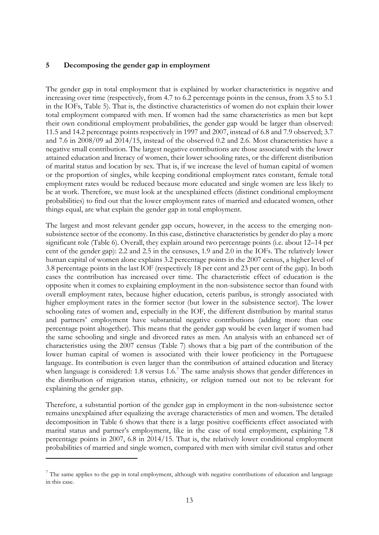## **5 Decomposing the gender gap in employment**

The gender gap in total employment that is explained by worker characteristics is negative and increasing over time (respectively, from 4.7 to 6.2 percentage points in the census, from 3.5 to 5.1 in the IOFs, Table 5). That is, the distinctive characteristics of women do not explain their lower total employment compared with men. If women had the same characteristics as men but kept their own conditional employment probabilities, the gender gap would be larger than observed: 11.5 and 14.2 percentage points respectively in 1997 and 2007, instead of 6.8 and 7.9 observed; 3.7 and 7.6 in 2008/09 ad 2014/15, instead of the observed 0.2 and 2.6. Most characteristics have a negative small contribution. The largest negative contributions are those associated with the lower attained education and literacy of women, their lower schooling rates, or the different distribution of marital status and location by sex. That is, if we increase the level of human capital of women or the proportion of singles, while keeping conditional employment rates constant, female total employment rates would be reduced because more educated and single women are less likely to be at work. Therefore, we must look at the unexplained effects (distinct conditional employment probabilities) to find out that the lower employment rates of married and educated women, other things equal, are what explain the gender gap in total employment.

The largest and most relevant gender gap occurs, however, in the access to the emerging nonsubsistence sector of the economy. In this case, distinctive characteristics by gender do play a more significant role (Table 6). Overall, they explain around two percentage points (i.e. about 12–14 per cent of the gender gap): 2.2 and 2.5 in the censuses, 1.9 and 2.0 in the IOFs. The relatively lower human capital of women alone explains 3.2 percentage points in the 2007 census, a higher level of 3.8 percentage points in the last IOF (respectively 18 per cent and 23 per cent of the gap). In both cases the contribution has increased over time. The characteristic effect of education is the opposite when it comes to explaining employment in the non-subsistence sector than found with overall employment rates, because higher education, ceteris paribus, is strongly associated with higher employment rates in the former sector (but lower in the subsistence sector). The lower schooling rates of women and, especially in the IOF, the different distribution by marital status and partners' employment have substantial negative contributions (adding more than one percentage point altogether). This means that the gender gap would be even larger if women had the same schooling and single and divorced rates as men. An analysis with an enhanced set of characteristics using the 2007 census (Table 7) shows that a big part of the contribution of the lower human capital of women is associated with their lower proficiency in the Portuguese language. Its contribution is even larger than the contribution of attained education and literacy when language is considered: 1.8 versus 1.6.<sup>[7](#page-12-0)</sup> The same analysis shows that gender differences in the distribution of migration status, ethnicity, or religion turned out not to be relevant for explaining the gender gap.

Therefore, a substantial portion of the gender gap in employment in the non-subsistence sector remains unexplained after equalizing the average characteristics of men and women. The detailed decomposition in Table 6 shows that there is a large positive coefficients effect associated with marital status and partner's employment, like in the case of total employment, explaining 7.8 percentage points in 2007, 6.8 in 2014/15. That is, the relatively lower conditional employment probabilities of married and single women, compared with men with similar civil status and other

-

<span id="page-12-0"></span> $7$  The same applies to the gap in total employment, although with negative contributions of education and language in this case.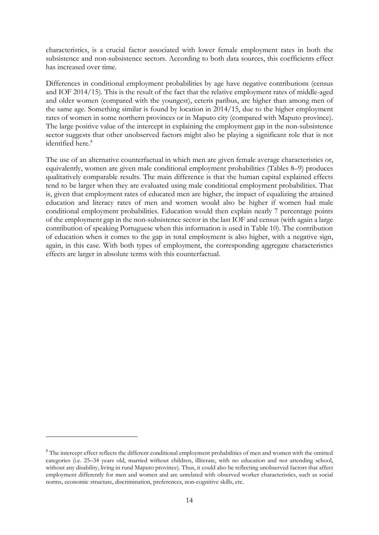characteristics, is a crucial factor associated with lower female employment rates in both the subsistence and non-subsistence sectors. According to both data sources, this coefficients effect has increased over time.

Differences in conditional employment probabilities by age have negative contributions (census and IOF 2014/15). This is the result of the fact that the relative employment rates of middle-aged and older women (compared with the youngest), ceteris paribus, are higher than among men of the same age. Something similar is found by location in 2014/15, due to the higher employment rates of women in some northern provinces or in Maputo city (compared with Maputo province). The large positive value of the intercept in explaining the employment gap in the non-subsistence sector suggests that other unobserved factors might also be playing a significant role that is not identified here.<sup>[8](#page-13-0)</sup>

The use of an alternative counterfactual in which men are given female average characteristics or, equivalently, women are given male conditional employment probabilities (Tables 8–9) produces qualitatively comparable results. The main difference is that the human capital explained effects tend to be larger when they are evaluated using male conditional employment probabilities. That is, given that employment rates of educated men are higher, the impact of equalizing the attained education and literacy rates of men and women would also be higher if women had male conditional employment probabilities. Education would then explain nearly 7 percentage points of the employment gap in the non-subsistence sector in the last IOF and census (with again a large contribution of speaking Portuguese when this information is used in Table 10). The contribution of education when it comes to the gap in total employment is also higher, with a negative sign, again, in this case. With both types of employment, the corresponding aggregate characteristics effects are larger in absolute terms with this counterfactual.

-

<span id="page-13-0"></span> $8$  The intercept effect reflects the different conditional employment probabilities of men and women with the omitted categories (i.e. 25–34 years old, married without children, illiterate, with no education and not attending school, without any disability, living in rural Maputo province). Thus, it could also be reflecting unobserved factors that affect employment differently for men and women and are unrelated with observed worker characteristics, such as social norms, economic structure, discrimination, preferences, non-cognitive skills, etc.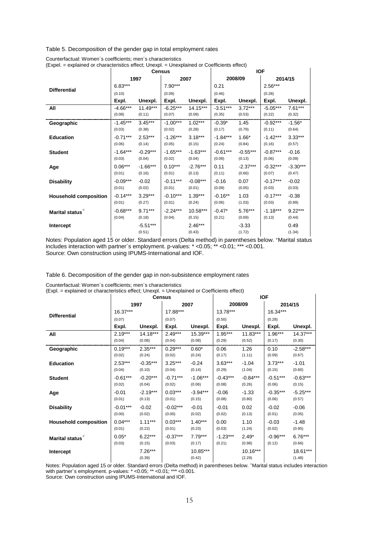Table 5. Decomposition of the gender gap in total employment rates

|                              | <b>Census</b> |            |            |            |            | <b>IOF</b> |            |            |  |  |  |
|------------------------------|---------------|------------|------------|------------|------------|------------|------------|------------|--|--|--|
|                              |               | 1997       |            | 2007       |            | 2008/09    |            | 2014/15    |  |  |  |
| <b>Differential</b>          | $6.83***$     |            | 7.90***    |            | 0.21       |            | $2.56***$  |            |  |  |  |
|                              | (0.10)        |            | (0.09)     |            | (0.46)     |            | (0.28)     |            |  |  |  |
|                              | Expl.         | Unexpl.    | Expl.      | Unexpl.    | Expl.      | Unexpl.    | Expl.      | Unexpl.    |  |  |  |
| All                          | $-4.66***$    | $11.49***$ | $-6.25***$ | 14.15***   | $-3.51***$ | $3.72***$  | $-5.05***$ | $7.61***$  |  |  |  |
|                              | (0.08)        | (0.11)     | (0.07)     | (0.09)     | (0.35)     | (0.53)     | (0.22)     | (0.32)     |  |  |  |
| Geographic                   | $-1.45***$    | $3.45***$  | $-1.00***$ | $1.02***$  | $-0.39*$   | 1.45       | $-0.92***$ | $-1.56*$   |  |  |  |
|                              | (0.03)        | (0.38)     | (0.02)     | (0.28)     | (0.17)     | (0.79)     | (0.11)     | (0.64)     |  |  |  |
| <b>Education</b>             | $-0.71***$    | $2.53***$  | $-1.26***$ | $3.18***$  | $-1.84***$ | $1.66*$    | $-1.42***$ | $3.33***$  |  |  |  |
|                              | (0.06)        | (0.14)     | (0.05)     | (0.15)     | (0.24)     | (0.84)     | (0.16)     | (0.57)     |  |  |  |
| <b>Student</b>               | $-1.64***$    | $-0.29***$ | $-1.65***$ | $-1.63***$ | $-0.61***$ | $-0.55***$ | $-0.87***$ | $-0.16$    |  |  |  |
|                              | (0.03)        | (0.04)     | (0.02)     | (0.04)     | (0.09)     | (0.13)     | (0.06)     | (0.09)     |  |  |  |
| Age                          | $0.06***$     | $-1.66***$ | $0.10***$  | $-2.76***$ | 0.11       | $-2.37***$ | $-0.32***$ | $-3.30***$ |  |  |  |
|                              | (0.01)        | (0.16)     | (0.01)     | (0.13)     | (0.11)     | (0.66)     | (0.07)     | (0.47)     |  |  |  |
| <b>Disability</b>            | $-0.09***$    | $-0.02$    | $-0.11***$ | $-0.08***$ | $-0.16$    | 0.07       | $-0.17***$ | $-0.02$    |  |  |  |
|                              | (0.01)        | (0.02)     | (0.01)     | (0.01)     | (0.09)     | (0.05)     | (0.03)     | (0.03)     |  |  |  |
| <b>Household composition</b> | $-0.14***$    | $3.29***$  | $-0.10***$ | $1.39***$  | $-0.16**$  | 1.03       | $-0.17***$ | $-0.38$    |  |  |  |
|                              | (0.01)        | (0.27)     | (0.01)     | (0.24)     | (0.06)     | (1.03)     | (0.03)     | (0.89)     |  |  |  |
| Marital status <sup>+</sup>  | $-0.68***$    | $9.71***$  | $-2.24***$ | 10.58***   | $-0.47*$   | $5.76***$  | $-1.18***$ | $9.22***$  |  |  |  |
|                              | (0.04)        | (0.18)     | (0.04)     | (0.15)     | (0.21)     | (0.69)     | (0.13)     | (0.44)     |  |  |  |
| Intercept                    |               | $-5.51***$ |            | $2.46***$  |            | $-3.33$    |            | 0.49       |  |  |  |
|                              |               | (0.51)     |            | (0.43)     |            | (1.72)     |            | (1.34)     |  |  |  |

Counterfactual: Women´s coefficients; men´s characteristics

(Expel. = explained or characteristics effect; Unexpl. = Unexplained or Coefficients effect)

Notes: Population aged 15 or older. Standard errors (Delta method) in parentheses below. +Marital status includes interaction with partner´s employment. p-values: \* <0.05; \*\* <0.01; \*\*\* <0.001. Source: Own construction using IPUMS-International and IOF.

Table 6. Decomposition of the gender gap in non-subsistence employment rates

| (Expl. = explained or characteristics effect, Oriexpl. = Oriexplained or Coemcletius effect) |            |                     | <b>Census</b> |                    |            |                      | <b>IOF</b> |                    |
|----------------------------------------------------------------------------------------------|------------|---------------------|---------------|--------------------|------------|----------------------|------------|--------------------|
|                                                                                              |            | 1997                |               | 2007               |            | 2008/09              |            | 2014/15            |
| <b>Differential</b>                                                                          | 16.37***   |                     | 17.88***      |                    | 13.78***   |                      | 16.34***   |                    |
|                                                                                              | (0.07)     |                     | (0.07)        |                    | (0.50)     |                      | (0.28)     |                    |
|                                                                                              | Expl.      | Unexpl.             | Expl.         | Unexpl.            | Expl.      | Unexpl.              | Expl.      | Unexpl.            |
| All                                                                                          | $2.19***$  | $14.18***$          | $2.49***$     | 15.39***           | $1.95***$  | $11.83***$           | $1.96***$  | $14.37***$         |
|                                                                                              | (0.04)     | (0.08)              | (0.04)        | (0.08)             | (0.29)     | (0.52)               | (0.17)     | (0.30)             |
| Geographic                                                                                   | $0.19***$  | $2.35***$           | $0.29***$     | $0.60*$            | 0.06       | 1.26                 | 0.10       | $-2.58***$         |
|                                                                                              | (0.02)     | (0.24)              | (0.02)        | (0.24)             | (0.17)     | (1.11)               | (0.09)     | (0.67)             |
| <b>Education</b>                                                                             | $2.53***$  | $-0.35***$          | $3.25***$     | $-0.24$            | $3.63***$  | $-1.04$              | $3.73***$  | $-1.01$            |
|                                                                                              | (0.04)     | (0.10)              | (0.04)        | (0.14)             | (0.29)     | (1.04)               | (0.15)     | (0.60)             |
| <b>Student</b>                                                                               | $-0.61***$ | $-0.20***$          | $-0.71***$    | $-1.06***$         | $-0.43***$ | $-0.84***$           | $-0.51***$ | $-0.63***$         |
|                                                                                              | (0.02)     | (0.04)              | (0.02)        | (0.06)             | (0.08)     | (0.26)               | (0.06)     | (0.15)             |
| Age                                                                                          | $-0.01$    | $-2.19***$          | $0.03***$     | $-3.94***$         | $-0.06$    | $-1.33$              | $-0.35***$ | $-5.25***$         |
|                                                                                              | (0.01)     | (0.13)              | (0.01)        | (0.15)             | (0.08)     | (0.80)               | (0.06)     | (0.57)             |
| <b>Disability</b>                                                                            | $-0.01***$ | $-0.02$             | $-0.02***$    | $-0.01$            | $-0.01$    | 0.02                 | $-0.02$    | $-0.06$            |
|                                                                                              | (0.00)     | (0.02)              | (0.00)        | (0.02)             | (0.02)     | (0.13)               | (0.01)     | (0.05)             |
| <b>Household composition</b>                                                                 | $0.04***$  | $1.11***$           | $0.03***$     | $1.40***$          | 0.00       | 1.10                 | $-0.03$    | $-1.48$            |
|                                                                                              | (0.01)     | (0.22)              | (0.01)        | (0.23)             | (0.03)     | (1.24)               | (0.02)     | (0.95)             |
| Marital status <sup>+</sup>                                                                  | $0.05*$    | $6.22***$           | $-0.37***$    | $7.79***$          | $-1.23***$ | $2.49*$              | $-0.96***$ | $6.76***$          |
|                                                                                              | (0.03)     | (0.15)              | (0.03)        | (0.17)             | (0.21)     | (0.98)               | (0.12)     | (0.66)             |
| Intercept                                                                                    |            | $7.26***$<br>(0.39) |               | 10.85***<br>(0.42) |            | $10.16***$<br>(2.29) |            | 18.61***<br>(1.48) |

Counterfactual: Women´s coefficients; men´s characteristics

 $\mathbf{I}$ 

(Expl. = explained or characteristics effect; Unexpl. = Unexplained or Coefficients effect)

Notes: Population aged 15 or older. Standard errors (Delta method) in parentheses below. +Marital status includes interaction with partner´s employment. p-values: \* <0.05; \*\* <0.01; \*\*\* <0.001. Source: Own construction using IPUMS-International and IOF.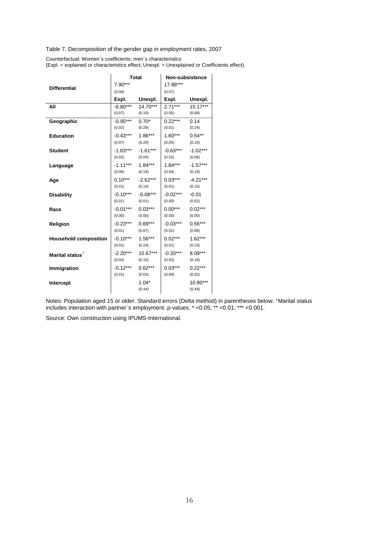Table 7. Decomposition of the gender gap in employment rates, 2007

Counterfactual: Women´s coefficients; men´s characteristics (Expl. = explained or characteristics effect; Unexpl. = Unexplained or Coefficients effect)

|                              | 7.90***               | <b>Total</b>        | Non-subsistence<br>17.88*** |            |
|------------------------------|-----------------------|---------------------|-----------------------------|------------|
| <b>Differential</b>          | (0.09)                |                     | (0.07)                      |            |
|                              | Expl.                 | Unexpl.             | Expl.                       | Unexpl.    |
| All                          |                       | $-6.80***$ 14.70*** | $2.71***$                   | $15.17***$ |
|                              | $(0.07)$ $(0.10)$     |                     | (0.05)                      | (0.08)     |
| Geographic                   | $-0.95***$ 0.70*      |                     | $0.22***$                   | 0.14       |
|                              | $(0.02)$ $(0.29)$     |                     | (0.01)                      | (0.24)     |
| <b>Education</b>             | $-0.43***$ 1.86***    |                     | $1.60***$                   | $0.54**$   |
|                              | (0.07)                | (0.20)              | (0.05)                      | (0.19)     |
| <b>Student</b>               | $-1.63***$ $-1.61***$ |                     | $-0.63***$                  | $-1.02***$ |
|                              | (0.02)                | (0.04)              | (0.02)                      | (0.06)     |
| Language                     | $-1.11***$ 1.84***    |                     | $1.84***$                   | $-1.57***$ |
|                              | $(0.06)$ $(0.19)$     |                     | (0.04)                      | (0.19)     |
| Age                          | $0.10***$ $-2.62***$  |                     | $0.03***$                   | $-4.21***$ |
|                              | (0.01)                | (0.14)              | (0.01)                      | (0.15)     |
| <b>Disability</b>            | $-0.10***$            | $-0.08***$          | -0.02***                    | $-0.01$    |
|                              | (0.01)                | (0.01)              | (0.00)                      | (0.02)     |
| Race                         | $-0.01***$            | $0.03***$           | $0.00***$                   | $0.02***$  |
|                              | (0.00)                | (0.00)              | (0.00)                      | (0.00)     |
| Religion                     | -0.23***              | $0.69***$           | -0.03***                    | $0.56***$  |
|                              | (0.01)                | (0.07)              | (0.01)                      | (0.08)     |
| <b>Household composition</b> | $-0.10***$ 1.56***    |                     | $0.02***$                   | $1.62***$  |
|                              | (0.01)                | (0.24)              | (0.01)                      | (0.23)     |
| Marital status <sup>+</sup>  | $-2.20***$            | $10.67***$          | -0.33***                    | $8.09***$  |
|                              | (0.04)                | (0.15)              | (0.02)                      | (0.18)     |
| Immigration                  | $-0.12***$            | $0.62***$           | $0.03***$                   | $0.22***$  |
|                              | (0.01)                | (0.03)              | (0.00)                      | (0.02)     |
| <b>Intercept</b>             |                       | $1.04*$             |                             | 10.80***   |
|                              |                       | (0.44)              |                             | (0.44)     |

Notes: Population aged 15 or older. Standard errors (Delta method) in parentheses below. +Marital status includes interaction with partner´s employment. p-values: \* <0.05; \*\* <0.01; \*\*\* <0.001.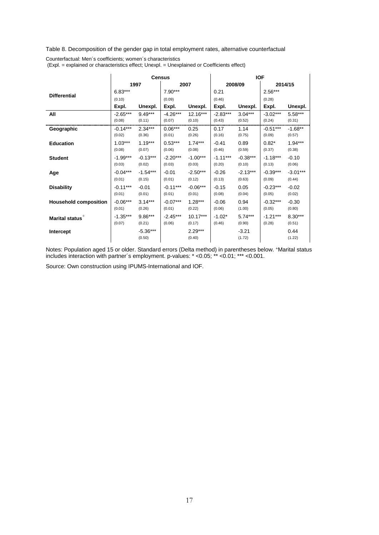Table 8. Decomposition of the gender gap in total employment rates, alternative counterfactual

|                              |            |                      | <b>Census</b> |                     | <b>IOF</b> |                   |            |                |  |  |
|------------------------------|------------|----------------------|---------------|---------------------|------------|-------------------|------------|----------------|--|--|
|                              |            | 1997                 |               | 2007                |            | 2008/09           |            | 2014/15        |  |  |
| <b>Differential</b>          | $6.83***$  |                      | $7.90***$     |                     | 0.21       |                   | $2.56***$  |                |  |  |
|                              | (0.10)     |                      | (0.09)        |                     | (0.46)     |                   | (0.28)     |                |  |  |
|                              | Expl.      | Unexpl.              | Expl.         | Unexpl.             | Expl.      | Unexpl.           | Expl.      | Unexpl.        |  |  |
| All                          | $-2.65***$ | $9.49***$            | $-4.26***$    | $12.16***$          | $-2.83***$ | $3.04***$         | $-3.02***$ | $5.58***$      |  |  |
|                              | (0.08)     | (0.11)               | (0.07)        | (0.10)              | (0.43)     | (0.52)            | (0.24)     | (0.31)         |  |  |
| Geographic                   | $-0.14***$ | $2.34***$            | $0.06***$     | 0.25                | 0.17       | 1.14              | $-0.51***$ | $-1.68**$      |  |  |
|                              | (0.02)     | (0.36)               | (0.01)        | (0.26)              | (0.16)     | (0.75)            | (0.09)     | (0.57)         |  |  |
| <b>Education</b>             | $1.03***$  | $1.19***$            | $0.53***$     | $1.74***$           | $-0.41$    | 0.89              | $0.82*$    | $1.94***$      |  |  |
|                              | (0.08)     | (0.07)               | (0.06)        | (0.08)              | (0.46)     | (0.59)            | (0.37)     | (0.38)         |  |  |
| <b>Student</b>               | $-1.99***$ | $-0.13***$           | $-2.20***$    | $-1.00***$          | $-1.11***$ | $-0.38***$        | $-1.18***$ | $-0.10$        |  |  |
|                              | (0.03)     | (0.02)               | (0.03)        | (0.03)              | (0.20)     | (0.10)            | (0.13)     | (0.06)         |  |  |
| Age                          | $-0.04***$ | $-1.54***$           | $-0.01$       | $-2.50***$          | $-0.26$    | $-2.13***$        | $-0.39***$ | $-3.01***$     |  |  |
|                              | (0.01)     | (0.15)               | (0.01)        | (0.12)              | (0.13)     | (0.63)            | (0.09)     | (0.44)         |  |  |
| <b>Disability</b>            | $-0.11***$ | $-0.01$              | $-0.11***$    | $-0.06***$          | $-0.15$    | 0.05              | $-0.23***$ | $-0.02$        |  |  |
|                              | (0.01)     | (0.01)               | (0.01)        | (0.01)              | (0.08)     | (0.04)            | (0.05)     | (0.02)         |  |  |
| <b>Household composition</b> | $-0.06***$ | $3.14***$            | $-0.07***$    | $1.28***$           | $-0.06$    | 0.94              | $-0.32***$ | $-0.30$        |  |  |
|                              | (0.01)     | (0.26)               | (0.01)        | (0.22)              | (0.06)     | (1.00)            | (0.05)     | (0.80)         |  |  |
| Marital status <sup>+</sup>  | $-1.35***$ | $9.86***$            | $-2.45***$    | $10.17***$          | $-1.02*$   | $5.74***$         | $-1.21***$ | $8.30***$      |  |  |
|                              | (0.07)     | (0.21)               | (0.06)        | (0.17)              | (0.46)     | (0.90)            | (0.28)     | (0.51)         |  |  |
| Intercept                    |            | $-5.36***$<br>(0.50) |               | $2.29***$<br>(0.40) |            | $-3.21$<br>(1.72) |            | 0.44<br>(1.22) |  |  |

Counterfactual: Men´s coefficients; women´s characteristics (Expl. = explained or characteristics effect; Unexpl. = Unexplained or Coefficients effect)

Notes: Population aged 15 or older. Standard errors (Delta method) in parentheses below. +Marital status includes interaction with partner´s employment. p-values: \* <0.05; \*\* <0.01; \*\*\* <0.001.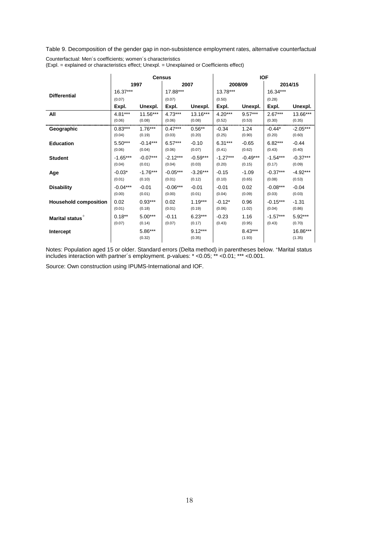Table 9. Decomposition of the gender gap in non-subsistence employment rates, alternative counterfactual

|                              |            |                   | <b>Census</b> |                     |            |                     | <b>IOF</b> |                    |
|------------------------------|------------|-------------------|---------------|---------------------|------------|---------------------|------------|--------------------|
|                              |            | 1997              |               | 2007                | 2008/09    | 2014/15             |            |                    |
| <b>Differential</b>          | $16.37***$ |                   | 17.88***      |                     | 13.78***   |                     | 16.34***   |                    |
|                              | (0.07)     |                   | (0.07)        |                     | (0.50)     |                     | (0.28)     |                    |
|                              | Expl.      | Unexpl.           | Expl.         | Unexpl.             | Expl.      | Unexpl.             | Expl.      | Unexpl.            |
| All                          | $4.81***$  | 11.56***          | $4.73***$     | $13.16***$          | $4.20***$  | $9.57***$           | $2.67***$  | 13.66***           |
|                              | (0.06)     | (0.08)            | (0.06)        | (0.08)              | (0.52)     | (0.53)              | (0.30)     | (0.35)             |
| Geographic                   | $0.83***$  | $1.76***$         | $0.47***$     | $0.56**$            | $-0.34$    | 1.24                | $-0.44*$   | $-2.05***$         |
|                              | (0.04)     | (0.19)            | (0.03)        | (0.20)              | (0.25)     | (0.90)              | (0.20)     | (0.60)             |
| <b>Education</b>             | $5.50***$  | $-0.14***$        | $6.57***$     | $-0.10$             | $6.31***$  | $-0.65$             | $6.82***$  | $-0.44$            |
|                              | (0.06)     | (0.04)            | (0.06)        | (0.07)              | (0.41)     | (0.62)              | (0.43)     | (0.40)             |
| <b>Student</b>               | $-1.65***$ | $-0.07***$        | $-2.12***$    | $-0.59***$          | $-1.27***$ | $-0.49***$          | $-1.54***$ | $-0.37***$         |
|                              | (0.04)     | (0.01)            | (0.04)        | (0.03)              | (0.20)     | (0.15)              | (0.17)     | (0.09)             |
| Age                          | $-0.03*$   | $-1.76***$        | $-0.05***$    | $-3.26***$          | $-0.15$    | $-1.09$             | $-0.37***$ | $-4.92***$         |
|                              | (0.01)     | (0.10)            | (0.01)        | (0.12)              | (0.10)     | (0.65)              | (0.08)     | (0.53)             |
| <b>Disability</b>            | $-0.04***$ | $-0.01$           | $-0.06***$    | $-0.01$             | $-0.01$    | 0.02                | $-0.08***$ | $-0.04$            |
|                              | (0.00)     | (0.01)            | (0.00)        | (0.01)              | (0.04)     | (0.09)              | (0.03)     | (0.03)             |
| <b>Household composition</b> | 0.02       | $0.93***$         | 0.02          | $1.19***$           | $-0.12*$   | 0.96                | $-0.15***$ | $-1.31$            |
|                              | (0.01)     | (0.18)            | (0.01)        | (0.19)              | (0.06)     | (1.02)              | (0.04)     | (0.86)             |
| Marital status <sup>+</sup>  | $0.18***$  | $5.00***$         | $-0.11$       | $6.23***$           | $-0.23$    | 1.16                | $-1.57***$ | $5.92***$          |
|                              | (0.07)     | (0.14)            | (0.07)        | (0.17)              | (0.43)     | (0.95)              | (0.43)     | (0.70)             |
| Intercept                    |            | 5.86***<br>(0.32) |               | $9.12***$<br>(0.35) |            | $8.43***$<br>(1.93) |            | 16.86***<br>(1.35) |

Counterfactual: Men´s coefficients; women´s characteristics (Expl. = explained or characteristics effect; Unexpl. = Unexplained or Coefficients effect)

Notes: Population aged 15 or older. Standard errors (Delta method) in parentheses below. +Marital status includes interaction with partner´s employment. p-values: \* <0.05; \*\* <0.01; \*\*\* <0.001.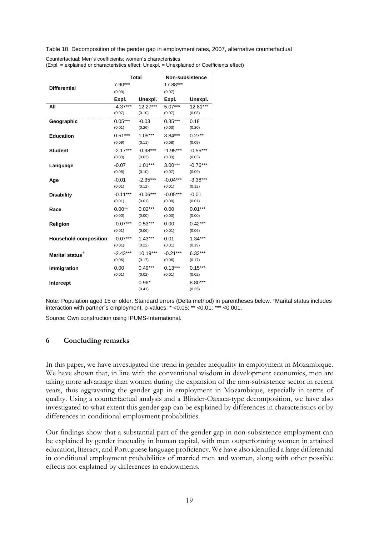Table 10. Decomposition of the gender gap in employment rates, 2007, alternative counterfactual

| Counterfactual: Men's coefficients; women's characteristics                                 |
|---------------------------------------------------------------------------------------------|
| (Expl. = explained or characteristics effect; Unexpl. = Unexplained or Coefficients effect) |

| <b>Differential</b>          | <b>Total</b>         |                      | <b>Non-subsistence</b> |                      |
|------------------------------|----------------------|----------------------|------------------------|----------------------|
|                              | 7.90***<br>(0.09)    |                      | 17.88***<br>(0.07)     |                      |
|                              |                      | Expl. Unexpl.        | Expl.                  | Unexpl.              |
| All                          |                      | $-4.37***$ 12.27***  | $5.07***$              | 12.81***             |
|                              | $(0.07)$ $(0.10)$    |                      | $(0.07)$ $(0.08)$      |                      |
| Geographic                   | $0.05***$ -0.03      |                      | $0.35***$              | 0.18                 |
|                              | $(0.01)$ $(0.26)$    |                      | (0.03)                 | (0.20)               |
| <b>Education</b>             | $0.51***$ 1.05***    |                      | $3.84***$              | $0.27**$             |
|                              | (0.09)               | (0.11)               | (0.08)                 | (0.09)               |
| <b>Student</b>               | $-2.17***$<br>(0.03) | $-0.98***$<br>(0.03) | $-1.95***$<br>(0.03)   | $-0.55***$<br>(0.03) |
| Language                     | -0.07                | $1.01***$            | $3.00***$              | $-0.76***$           |
|                              | (0.08)               | (0.10)               | (0.07)                 | (0.09)               |
| Age                          | $-0.01$              | $-2.35***$           | $-0.04***$             | $-3.38***$           |
|                              | (0.01)               | (0.12)               | (0.01)                 | (0.12)               |
| <b>Disability</b>            | -0.11***             | $-0.06***$           | $-0.05***$             | $-0.01$              |
|                              | (0.01)               | (0.01)               | (0.00)                 | (0.01)               |
| Race                         | $0.00**$             | $0.02***$            | 0.00                   | $0.01***$            |
|                              | (0.00)               | (0.00)               | (0.00)                 | (0.00)               |
| <b>Religion</b>              | $-0.07***$           | $0.53***$            | 0.00                   | $0.42***$            |
|                              | (0.01)               | (0.06)               | (0.01)                 | (0.06)               |
| <b>Household composition</b> | $-0.07***$           | $1.43***$            | 0.01                   | $1.34***$            |
|                              | (0.01)               | (0.22)               | (0.01)                 | (0.19)               |
| Marital status <sup>+</sup>  | $-2.43***$           | $10.19***$           | -0.21***               | $6.33***$            |
|                              | (0.06)               | (0.17)               | (0.06)                 | (0.17)               |
| Immigration                  | $0.00\,$<br>(0.01)   | $0.49***$<br>(0.02)  | $0.13***$<br>(0.01)    | $0.15***$<br>(0.02)  |
| Intercept                    |                      | $0.96*$              |                        | $8.80***$            |
|                              |                      | (0.41)               |                        | (0.35)               |
|                              |                      |                      |                        |                      |

Note: Population aged 15 or older. Standard errors (Delta method) in parentheses below. +Marital status includes interaction with partner´s employment. p-values: \* <0.05; \*\* <0.01; \*\*\* <0.001.

Source: Own construction using IPUMS-International.

### **6 Concluding remarks**

In this paper, we have investigated the trend in gender inequality in employment in Mozambique. We have shown that, in line with the conventional wisdom in development economics, men are taking more advantage than women during the expansion of the non-subsistence sector in recent years, thus aggravating the gender gap in employment in Mozambique, especially in terms of quality. Using a counterfactual analysis and a Blinder-Oaxaca-type decomposition, we have also investigated to what extent this gender gap can be explained by differences in characteristics or by differences in conditional employment probabilities.

Our findings show that a substantial part of the gender gap in non-subsistence employment can be explained by gender inequality in human capital, with men outperforming women in attained education, literacy, and Portuguese language proficiency. We have also identified a large differential in conditional employment probabilities of married men and women, along with other possible effects not explained by differences in endowments.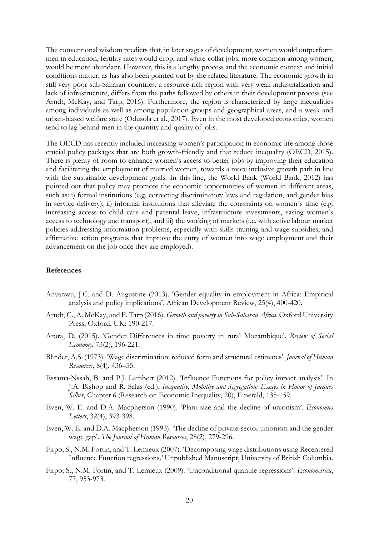The conventional wisdom predicts that, in later stages of development, women would outperform men in education, fertility rates would drop, and white-collar jobs, more common among women, would be more abundant. However, this is a lengthy process and the economic context and initial conditions matter, as has also been pointed out by the related literature. The economic growth in still very poor sub-Saharan countries, a resource-rich region with very weak industrialization and lack of infrastructure, differs from the paths followed by others in their development process (see Arndt, McKay, and Tarp, 2016). Furthermore, the region is characterized by large inequalities among individuals as well as among population groups and geographical areas, and a weak and urban-biased welfare state (Odusola et al., 2017). Even in the most developed economies, women tend to lag behind men in the quantity and quality of jobs.

The OECD has recently included increasing women's participation in economic life among those crucial policy packages that are both growth-friendly and that reduce inequality (OECD, 2015). There is plenty of room to enhance women's access to better jobs by improving their education and facilitating the employment of married women, towards a more inclusive growth path in line with the sustainable development goals. In this line, the World Bank (World Bank, 2012) has pointed out that policy may promote the economic opportunities of women in different areas, such as: i) formal institutions (e.g. correcting discriminatory laws and regulation, and gender bias in service delivery), ii) informal institutions that alleviate the constraints on women´s time (e.g. increasing access to child care and parental leave, infrastructure investments, easing women's access to technology and transport), and iii) the working of markets (i.e. with active labour market policies addressing information problems, especially with skills training and wage subsidies, and affirmative action programs that improve the entry of women into wage employment and their advancement on the job once they are employed).

### **References**

- Anyanwu, J.C. and D. Augustine (2013). 'Gender equality in employment in Africa: Empirical analysis and policy implications', African Development Review, 25(4), 400-420.
- Arndt, C., A. McKay, and F. Tarp (2016). *Growth and poverty in Sub-Saharan Africa*. Oxford University Press, Oxford, UK: 190-217.
- Arora, D. (2015). 'Gender Differences in time poverty in rural Mozambique'. *Review of Social Economy*, 73(2), 196-221.
- Blinder, A.S. (1973). 'Wage discrimination: reduced form and structural estimates'. *Journal of Human Resources*, 8(4), 436–55.
- Essama-Nssah, B. and P.J. Lambert (2012). 'Influence Functions for policy impact analysis'. In J.A. Bishop and R. Salas (ed.), *Inequality, Mobility and Segregation: Essays in Honor of Jacques Silber*, Chapter 6 (Research on Economic Inequality, 20), Emerald, 135-159.
- Even, W. E. and D.A. Macpherson (1990). 'Plant size and the decline of unionism'. *Economics Letters*, 32(4), 393-398.
- Even, W. E. and D.A. Macpherson (1993). 'The decline of private-sector unionism and the gender wage gap'. *The Journal of Human Resources*, 28(2), 279-296.
- Firpo, S., N.M. Fortin, and T. Lemieux (2007). 'Decomposing wage distributions using Recentered Influence Function regressions.' Unpublished Manuscript, University of British Columbia.
- Firpo, S., N.M. Fortin, and T. Lemieux (2009). 'Unconditional quantile regressions'. *Econometrica*, 77, 953-973.